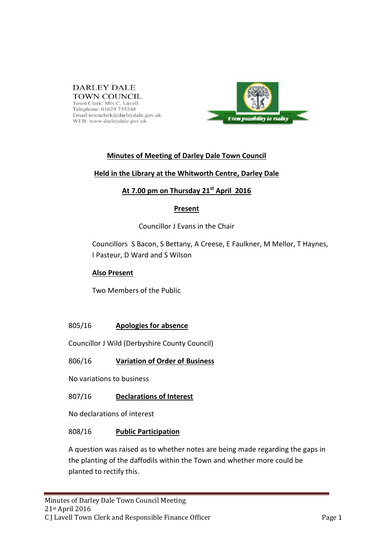### **DARLEY DALE TOWN COUNCIL**

Town Clerk: Mrs C. Lavell Telephone: 01629 735248 Email:townclerk@darleydale.gov.uk WEB: www.darleydale.gov.uk



# **Minutes of Meeting of Darley Dale Town Council**

### **Held in the Library at the Whitworth Centre, Darley Dale**

# **At 7.00 pm on Thursday 21st April 2016**

# **Present**

# Councillor J Evans in the Chair

Councillors S Bacon, S Bettany, A Creese, E Faulkner, M Mellor, T Haynes, I Pasteur, D Ward and S Wilson

## **Also Present**

Two Members of the Public

# 805/16 **Apologies for absence**

Councillor J Wild (Derbyshire County Council)

# 806/16 **Variation of Order of Business**

No variations to business

# 807/16 **Declarations of Interest**

No declarations of interest

# 808/16 **Public Participation**

A question was raised as to whether notes are being made regarding the gaps in the planting of the daffodils within the Town and whether more could be planted to rectify this.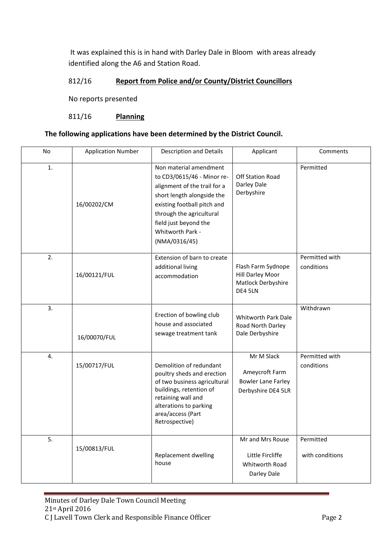It was explained this is in hand with Darley Dale in Bloom with areas already identified along the A6 and Station Road.

## 812/16 **Report from Police and/or County/District Councillors**

No reports presented

#### 811/16 **Planning**

#### **The following applications have been determined by the District Council.**

| No             | <b>Application Number</b> | <b>Description and Details</b>                                                                                                                                                                                                              | Applicant                                                                       | Comments                     |
|----------------|---------------------------|---------------------------------------------------------------------------------------------------------------------------------------------------------------------------------------------------------------------------------------------|---------------------------------------------------------------------------------|------------------------------|
| $\mathbf{1}$ . | 16/00202/CM               | Non material amendment<br>to CD3/0615/46 - Minor re-<br>alignment of the trail for a<br>short length alongside the<br>existing football pitch and<br>through the agricultural<br>field just beyond the<br>Whitworth Park -<br>(NMA/0316/45) | <b>Off Station Road</b><br>Darley Dale<br>Derbyshire                            | Permitted                    |
| 2.             | 16/00121/FUL              | Extension of barn to create<br>additional living<br>accommodation                                                                                                                                                                           | Flash Farm Sydnope<br>Hill Darley Moor<br>Matlock Derbyshire<br>DE4 5LN         | Permitted with<br>conditions |
| 3.             | 16/00070/FUL              | Erection of bowling club<br>house and associated<br>sewage treatment tank                                                                                                                                                                   | Whitworth Park Dale<br>Road North Darley<br>Dale Derbyshire                     | Withdrawn                    |
| 4.             | 15/00717/FUL              | Demolition of redundant<br>poultry sheds and erection<br>of two business agricultural<br>buildings, retention of<br>retaining wall and<br>alterations to parking<br>area/access (Part<br>Retrospective)                                     | Mr M Slack<br>Ameycroft Farm<br><b>Bowler Lane Farley</b><br>Derbyshire DE4 5LR | Permitted with<br>conditions |
| 5.             | 15/00813/FUL              | Replacement dwelling<br>house                                                                                                                                                                                                               | Mr and Mrs Rouse<br>Little Fircliffe<br>Whitworth Road<br>Darley Dale           | Permitted<br>with conditions |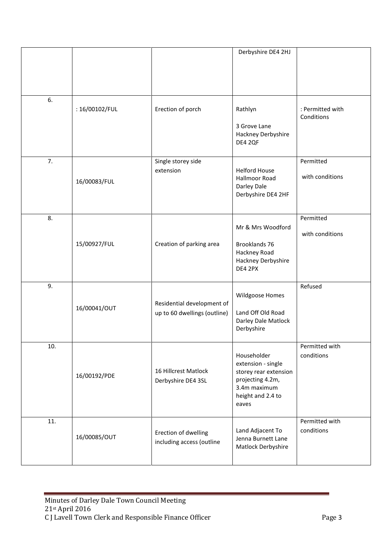|     |                |                                                            | Derbyshire DE4 2HJ                                                                                                           |                                |
|-----|----------------|------------------------------------------------------------|------------------------------------------------------------------------------------------------------------------------------|--------------------------------|
| 6.  | : 16/00102/FUL | Erection of porch                                          | Rathlyn<br>3 Grove Lane<br>Hackney Derbyshire<br>DE4 2QF                                                                     | : Permitted with<br>Conditions |
| 7.  | 16/00083/FUL   | Single storey side<br>extension                            | <b>Helford House</b><br><b>Hallmoor Road</b><br>Darley Dale<br>Derbyshire DE4 2HF                                            | Permitted<br>with conditions   |
| 8.  | 15/00927/FUL   | Creation of parking area                                   | Mr & Mrs Woodford<br>Brooklands 76<br>Hackney Road<br>Hackney Derbyshire<br>DE4 2PX                                          | Permitted<br>with conditions   |
| 9.  | 16/00041/OUT   | Residential development of<br>up to 60 dwellings (outline) | Wildgoose Homes<br>Land Off Old Road<br>Darley Dale Matlock<br>Derbyshire                                                    | Refused                        |
| 10. | 16/00192/PDE   | 16 Hillcrest Matlock<br>Derbyshire DE4 3SL                 | Householder<br>extension - single<br>storey rear extension<br>projecting 4.2m,<br>3.4m maximum<br>height and 2.4 to<br>eaves | Permitted with<br>conditions   |
| 11. | 16/00085/OUT   | Erection of dwelling<br>including access (outline          | Land Adjacent To<br>Jenna Burnett Lane<br>Matlock Derbyshire                                                                 | Permitted with<br>conditions   |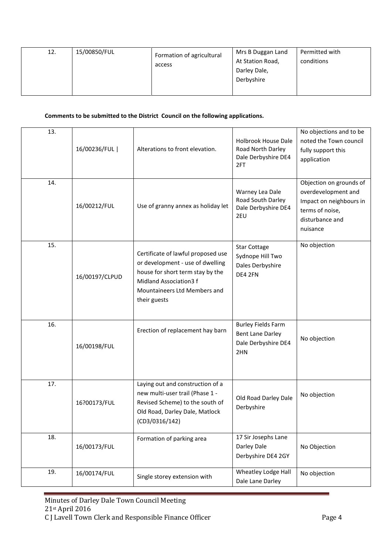| 12. | 15/00850/FUL | Formation of agricultural<br>access | Mrs B Duggan Land<br>At Station Road,<br>Darley Dale,<br>Derbyshire | Permitted with<br>conditions |
|-----|--------------|-------------------------------------|---------------------------------------------------------------------|------------------------------|
|-----|--------------|-------------------------------------|---------------------------------------------------------------------|------------------------------|

#### **Comments to be submitted to the District Council on the following applications.**

| 13. |                |                                                                                                                                                                                      |                                                                                    | No objections and to be                                                                                                     |
|-----|----------------|--------------------------------------------------------------------------------------------------------------------------------------------------------------------------------------|------------------------------------------------------------------------------------|-----------------------------------------------------------------------------------------------------------------------------|
|     | 16/00236/FUL   | Alterations to front elevation.                                                                                                                                                      | <b>Holbrook House Dale</b><br>Road North Darley<br>Dale Derbyshire DE4<br>2FT      | noted the Town council<br>fully support this<br>application                                                                 |
| 14. | 16/00212/FUL   | Use of granny annex as holiday let                                                                                                                                                   | Warney Lea Dale<br>Road South Darley<br>Dale Derbyshire DE4<br>2EU                 | Objection on grounds of<br>overdevelopment and<br>Impact on neighbours in<br>terms of noise,<br>disturbance and<br>nuisance |
| 15. | 16/00197/CLPUD | Certificate of lawful proposed use<br>or development - use of dwelling<br>house for short term stay by the<br>Midland Association3 f<br>Mountaineers Ltd Members and<br>their guests | <b>Star Cottage</b><br>Sydnope Hill Two<br>Dales Derbyshire<br>DE4 2FN             | No objection                                                                                                                |
| 16. | 16/00198/FUL   | Erection of replacement hay barn                                                                                                                                                     | <b>Burley Fields Farm</b><br><b>Bent Lane Darley</b><br>Dale Derbyshire DE4<br>2HN | No objection                                                                                                                |
| 17. | 16?00173/FUL   | Laying out and construction of a<br>new multi-user trail (Phase 1 -<br>Revised Scheme) to the south of<br>Old Road, Darley Dale, Matlock<br>(CD3/0316/142)                           | Old Road Darley Dale<br>Derbyshire                                                 | No objection                                                                                                                |
| 18. | 16/00173/FUL   | Formation of parking area                                                                                                                                                            | 17 Sir Josephs Lane<br>Darley Dale<br>Derbyshire DE4 2GY                           | No Objection                                                                                                                |
| 19. | 16/00174/FUL   | Single storey extension with                                                                                                                                                         | Wheatley Lodge Hall<br>Dale Lane Darley                                            | No objection                                                                                                                |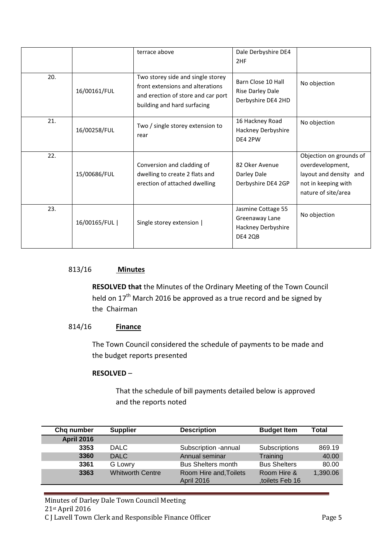|     |              | terrace above                                                                                                                              | Dale Derbyshire DE4<br>2HF                                            |                                                                                                                     |
|-----|--------------|--------------------------------------------------------------------------------------------------------------------------------------------|-----------------------------------------------------------------------|---------------------------------------------------------------------------------------------------------------------|
| 20. | 16/00161/FUL | Two storey side and single storey<br>front extensions and alterations<br>and erection of store and car port<br>building and hard surfacing | Barn Close 10 Hall<br>Rise Darley Dale<br>Derbyshire DE4 2HD          | No objection                                                                                                        |
| 21. | 16/00258/FUL | Two / single storey extension to<br>rear                                                                                                   | 16 Hackney Road<br>Hackney Derbyshire<br>DE4 2PW                      | No objection                                                                                                        |
| 22. | 15/00686/FUL | Conversion and cladding of<br>dwelling to create 2 flats and<br>erection of attached dwelling                                              | 82 Oker Avenue<br>Darley Dale<br>Derbyshire DE4 2GP                   | Objection on grounds of<br>overdevelopment,<br>layout and density and<br>not in keeping with<br>nature of site/area |
| 23. | 16/00165/FUL | Single storey extension                                                                                                                    | Jasmine Cottage 55<br>Greenaway Lane<br>Hackney Derbyshire<br>DE4 2QB | No objection                                                                                                        |

## 813/16 **Minutes**

**RESOLVED that** the Minutes of the Ordinary Meeting of the Town Council held on 17<sup>th</sup> March 2016 be approved as a true record and be signed by the Chairman

# 814/16 **Finance**

The Town Council considered the schedule of payments to be made and the budget reports presented

#### **RESOLVED** –

That the schedule of bill payments detailed below is approved and the reports noted

| Chg number        | <b>Supplier</b>         | <b>Description</b>                          | <b>Budget Item</b>            | Total    |
|-------------------|-------------------------|---------------------------------------------|-------------------------------|----------|
| <b>April 2016</b> |                         |                                             |                               |          |
| 3353              | <b>DALC</b>             | Subscription -annual                        | Subscriptions                 | 869.19   |
| 3360              | <b>DALC</b>             | Annual seminar                              | Training                      | 40.00    |
| 3361              | G Lowry                 | <b>Bus Shelters month</b>                   | <b>Bus Shelters</b>           | 80.00    |
| 3363              | <b>Whitworth Centre</b> | Room Hire and, Toilets<br><b>April 2016</b> | Room Hire &<br>toilets Feb 16 | 1,390.06 |

Minutes of Darley Dale Town Council Meeting 21st April 2016 C J Lavell Town Clerk and Responsible Finance Officer **Page 5**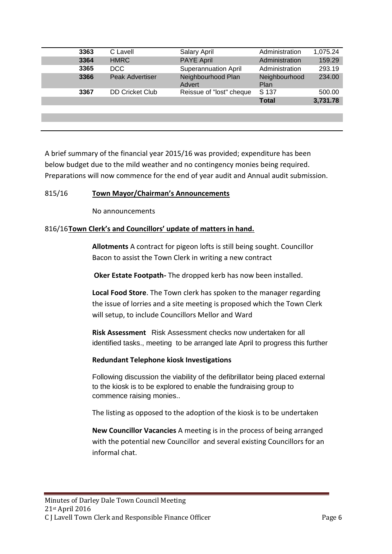| 3363 | C Lavell               | Salary April                 | Administration        | 1,075.24 |
|------|------------------------|------------------------------|-----------------------|----------|
| 3364 | <b>HMRC</b>            | <b>PAYE April</b>            | Administration        | 159.29   |
| 3365 | DCC                    | <b>Superannuation April</b>  | Administration        | 293.19   |
| 3366 | <b>Peak Advertiser</b> | Neighbourhood Plan<br>Advert | Neighbourhood<br>Plan | 234.00   |
| 3367 | <b>DD Cricket Club</b> | Reissue of "lost" cheque     | S 137                 | 500.00   |
|      |                        |                              | <b>Total</b>          | 3,731.78 |
|      |                        |                              |                       |          |
|      |                        |                              |                       |          |
|      |                        |                              |                       |          |

A brief summary of the financial year 2015/16 was provided; expenditure has been below budget due to the mild weather and no contingency monies being required. Preparations will now commence for the end of year audit and Annual audit submission.

### 815/16 **Town Mayor/Chairman's Announcements**

No announcements

### 816/16**Town Clerk's and Councillors' update of matters in hand.**

**Allotments** A contract for pigeon lofts is still being sought. Councillor Bacon to assist the Town Clerk in writing a new contract

**Oker Estate Footpath-** The dropped kerb has now been installed.

**Local Food Store**. The Town clerk has spoken to the manager regarding the issue of lorries and a site meeting is proposed which the Town Clerk will setup, to include Councillors Mellor and Ward

**Risk Assessment** Risk Assessment checks now undertaken for all identified tasks., meeting to be arranged late April to progress this further

#### **Redundant Telephone kiosk Investigations**

Following discussion the viability of the defibrillator being placed external to the kiosk is to be explored to enable the fundraising group to commence raising monies..

The listing as opposed to the adoption of the kiosk is to be undertaken

**New Councillor Vacancies** A meeting is in the process of being arranged with the potential new Councillor and several existing Councillors for an informal chat.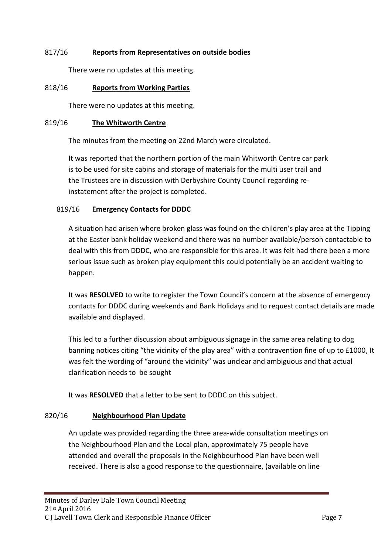# 817/16 **Reports from Representatives on outside bodies**

There were no updates at this meeting.

## 818/16 **Reports from Working Parties**

There were no updates at this meeting.

#### 819/16 **The Whitworth Centre**

The minutes from the meeting on 22nd March were circulated.

It was reported that the northern portion of the main Whitworth Centre car park is to be used for site cabins and storage of materials for the multi user trail and the Trustees are in discussion with Derbyshire County Council regarding reinstatement after the project is completed.

### 819/16 **Emergency Contacts for DDDC**

A situation had arisen where broken glass was found on the children's play area at the Tipping at the Easter bank holiday weekend and there was no number available/person contactable to deal with this from DDDC, who are responsible for this area. It was felt had there been a more serious issue such as broken play equipment this could potentially be an accident waiting to happen.

It was **RESOLVED** to write to register the Town Council's concern at the absence of emergency contacts for DDDC during weekends and Bank Holidays and to request contact details are made available and displayed.

This led to a further discussion about ambiguous signage in the same area relating to dog banning notices citing "the vicinity of the play area" with a contravention fine of up to £1000, It was felt the wording of "around the vicinity" was unclear and ambiguous and that actual clarification needs to be sought

It was **RESOLVED** that a letter to be sent to DDDC on this subject.

# 820/16 **Neighbourhood Plan Update**

An update was provided regarding the three area-wide consultation meetings on the Neighbourhood Plan and the Local plan, approximately 75 people have attended and overall the proposals in the Neighbourhood Plan have been well received. There is also a good response to the questionnaire, (available on line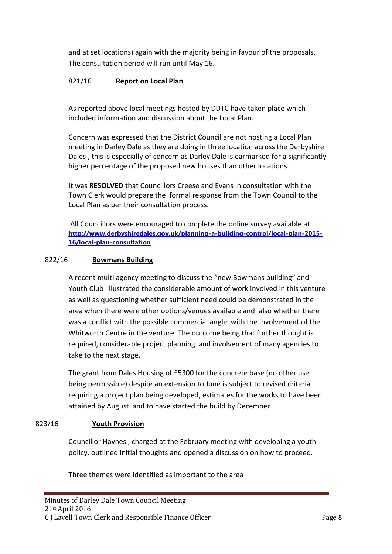and at set locations) again with the majority being in favour of the proposals. The consultation period will run until May 16.

# 821/16 **Report on Local Plan**

As reported above local meetings hosted by DDTC have taken place which included information and discussion about the Local Plan.

Concern was expressed that the District Council are not hosting a Local Plan meeting in Darley Dale as they are doing in three location across the Derbyshire Dales , this is especially of concern as Darley Dale is earmarked for a significantly higher percentage of the proposed new houses than other locations.

It was **RESOLVED** that Councillors Creese and Evans in consultation with the Town Clerk would prepare the formal response from the Town Council to the Local Plan as per their consultation process.

All Councillors were encouraged to complete the online survey available at **[http://www.derbyshiredales.gov.uk/planning-a-building-control/local-plan-2015-](http://www.derbyshiredales.gov.uk/planning-a-building-control/local-plan-2015-16/local-plan-consultation) [16/local-plan-consultation](http://www.derbyshiredales.gov.uk/planning-a-building-control/local-plan-2015-16/local-plan-consultation)**

# 822/16 **Bowmans Building**

A recent multi agency meeting to discuss the "new Bowmans building" and Youth Club illustrated the considerable amount of work involved in this venture as well as questioning whether sufficient need could be demonstrated in the area when there were other options/venues available and also whether there was a conflict with the possible commercial angle with the involvement of the Whitworth Centre in the venture. The outcome being that further thought is required, considerable project planning and involvement of many agencies to take to the next stage.

The grant from Dales Housing of £5300 for the concrete base (no other use being permissible) despite an extension to June is subject to revised criteria requiring a project plan being developed, estimates for the works to have been attained by August and to have started the build by December

# 823/16 **Youth Provision**

Councillor Haynes , charged at the February meeting with developing a youth policy, outlined initial thoughts and opened a discussion on how to proceed.

Three themes were identified as important to the area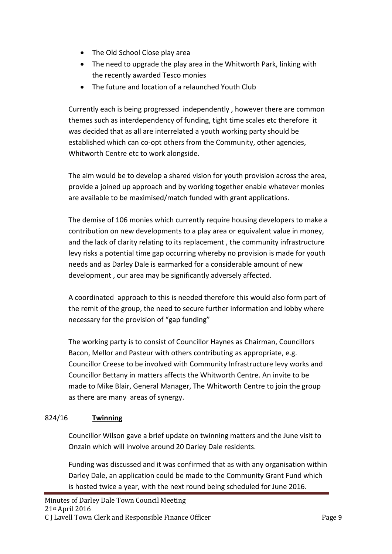- The Old School Close play area
- The need to upgrade the play area in the Whitworth Park, linking with the recently awarded Tesco monies
- The future and location of a relaunched Youth Club

Currently each is being progressed independently , however there are common themes such as interdependency of funding, tight time scales etc therefore it was decided that as all are interrelated a youth working party should be established which can co-opt others from the Community, other agencies, Whitworth Centre etc to work alongside.

The aim would be to develop a shared vision for youth provision across the area, provide a joined up approach and by working together enable whatever monies are available to be maximised/match funded with grant applications.

The demise of 106 monies which currently require housing developers to make a contribution on new developments to a play area or equivalent value in money, and the lack of clarity relating to its replacement , the community infrastructure levy risks a potential time gap occurring whereby no provision is made for youth needs and as Darley Dale is earmarked for a considerable amount of new development , our area may be significantly adversely affected.

A coordinated approach to this is needed therefore this would also form part of the remit of the group, the need to secure further information and lobby where necessary for the provision of "gap funding"

The working party is to consist of Councillor Haynes as Chairman, Councillors Bacon, Mellor and Pasteur with others contributing as appropriate, e.g. Councillor Creese to be involved with Community Infrastructure levy works and Councillor Bettany in matters affects the Whitworth Centre. An invite to be made to Mike Blair, General Manager, The Whitworth Centre to join the group as there are many areas of synergy.

# 824/16 **Twinning**

Councillor Wilson gave a brief update on twinning matters and the June visit to Onzain which will involve around 20 Darley Dale residents.

Funding was discussed and it was confirmed that as with any organisation within Darley Dale, an application could be made to the Community Grant Fund which is hosted twice a year, with the next round being scheduled for June 2016.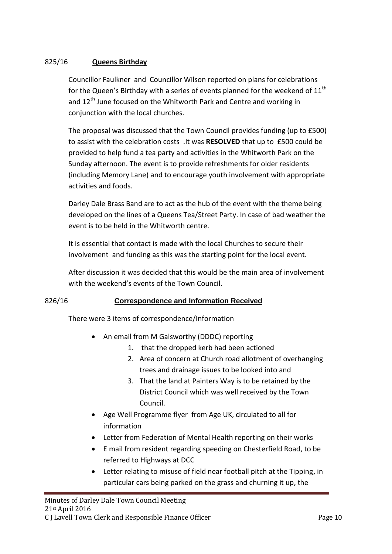# 825/16 **Queens Birthday**

Councillor Faulkner and Councillor Wilson reported on plans for celebrations for the Queen's Birthday with a series of events planned for the weekend of  $11<sup>th</sup>$ and 12<sup>th</sup> June focused on the Whitworth Park and Centre and working in conjunction with the local churches.

The proposal was discussed that the Town Council provides funding (up to £500) to assist with the celebration costs .It was **RESOLVED** that up to £500 could be provided to help fund a tea party and activities in the Whitworth Park on the Sunday afternoon. The event is to provide refreshments for older residents (including Memory Lane) and to encourage youth involvement with appropriate activities and foods.

Darley Dale Brass Band are to act as the hub of the event with the theme being developed on the lines of a Queens Tea/Street Party. In case of bad weather the event is to be held in the Whitworth centre.

It is essential that contact is made with the local Churches to secure their involvement and funding as this was the starting point for the local event.

After discussion it was decided that this would be the main area of involvement with the weekend's events of the Town Council.

# 826/16 **Correspondence and Information Received**

There were 3 items of correspondence/Information

- An email from M Galsworthy (DDDC) reporting
	- 1. that the dropped kerb had been actioned
	- 2. Area of concern at Church road allotment of overhanging trees and drainage issues to be looked into and
	- 3. That the land at Painters Way is to be retained by the District Council which was well received by the Town Council.
- Age Well Programme flyer from Age UK, circulated to all for information
- Letter from Federation of Mental Health reporting on their works
- E mail from resident regarding speeding on Chesterfield Road, to be referred to Highways at DCC
- Letter relating to misuse of field near football pitch at the Tipping, in particular cars being parked on the grass and churning it up, the